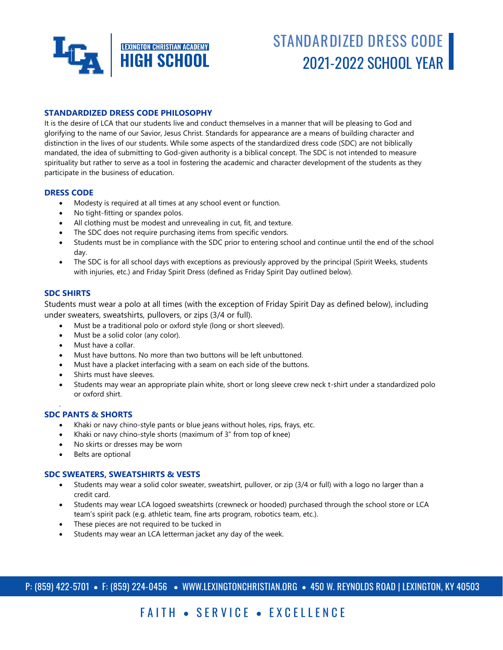

# **STANDARDIZED DRESS CODE** 2021-2022 SCHOOL YEAR

### **STANDARDIZED DRESS CODE PHILOSOPHY**

It is the desire of LCA that our students live and conduct themselves in a manner that will be pleasing to God and glorifying to the name of our Savior, Jesus Christ. Standards for appearance are a means of building character and distinction in the lives of our students. While some aspects of the standardized dress code (SDC) are not biblically mandated, the idea of submitting to God-given authority is a biblical concept. The SDC is not intended to measure spirituality but rather to serve as a tool in fostering the academic and character development of the students as they participate in the business of education.

#### **DRESS CODE**

- Modesty is required at all times at any school event or function.
- No tight-fitting or spandex polos.
- All clothing must be modest and unrevealing in cut, fit, and texture.
- The SDC does not require purchasing items from specific vendors.
- Students must be in compliance with the SDC prior to entering school and continue until the end of the school day.
- The SDC is for all school days with exceptions as previously approved by the principal (Spirit Weeks, students with injuries, etc.) and Friday Spirit Dress (defined as Friday Spirit Day outlined below).

#### **SDC SHIRTS**

.

Students must wear a polo at all times (with the exception of Friday Spirit Day as defined below), including under sweaters, sweatshirts, pullovers, or zips (3/4 or full).

- Must be a traditional polo or oxford style (long or short sleeved).
- Must be a solid color (any color).
- Must have a collar.
- Must have buttons. No more than two buttons will be left unbuttoned.
- Must have a placket interfacing with a seam on each side of the buttons.
- Shirts must have sleeves.
- Students may wear an appropriate plain white, short or long sleeve crew neck t-shirt under a standardized polo or oxford shirt.

#### **SDC PANTS & SHORTS**

- Khaki or navy chino-style pants or blue jeans without holes, rips, frays, etc.
- Khaki or navy chino-style shorts (maximum of 3" from top of knee)
- No skirts or dresses may be worn
- Belts are optional

#### **SDC SWEATERS, SWEATSHIRTS & VESTS**

- Students may wear a solid color sweater, sweatshirt, pullover, or zip (3/4 or full) with a logo no larger than a credit card.
- Students may wear LCA logoed sweatshirts (crewneck or hooded) purchased through the school store or LCA team's spirit pack (e.g. athletic team, fine arts program, robotics team, etc.).
- These pieces are not required to be tucked in
- Students may wear an LCA letterman jacket any day of the week.

# FAITH • SERVICE • EXCELLENCE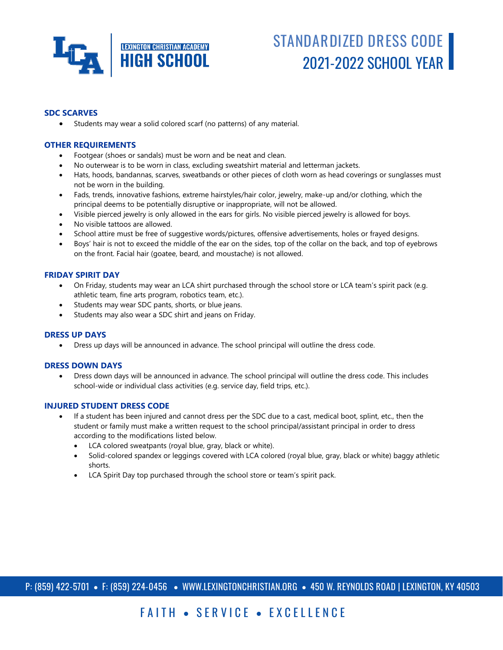

# **STANDARDIZED DRESS CODE** 2021-2022 SCHOOL YEAR

### **SDC SCARVES**

Students may wear a solid colored scarf (no patterns) of any material.

### **OTHER REQUIREMENTS**

- Footgear (shoes or sandals) must be worn and be neat and clean.
- No outerwear is to be worn in class, excluding sweatshirt material and letterman jackets.
- Hats, hoods, bandannas, scarves, sweatbands or other pieces of cloth worn as head coverings or sunglasses must not be worn in the building.
- Fads, trends, innovative fashions, extreme hairstyles/hair color, jewelry, make-up and/or clothing, which the principal deems to be potentially disruptive or inappropriate, will not be allowed.
- Visible pierced jewelry is only allowed in the ears for girls. No visible pierced jewelry is allowed for boys.
- No visible tattoos are allowed.
- School attire must be free of suggestive words/pictures, offensive advertisements, holes or frayed designs.
- Boys' hair is not to exceed the middle of the ear on the sides, top of the collar on the back, and top of eyebrows on the front. Facial hair (goatee, beard, and moustache) is not allowed.

#### **FRIDAY SPIRIT DAY**

- On Friday, students may wear an LCA shirt purchased through the school store or LCA team's spirit pack (e.g. athletic team, fine arts program, robotics team, etc.).
- Students may wear SDC pants, shorts, or blue jeans.
- Students may also wear a SDC shirt and jeans on Friday.

#### **DRESS UP DAYS**

Dress up days will be announced in advance. The school principal will outline the dress code.

#### **DRESS DOWN DAYS**

 Dress down days will be announced in advance. The school principal will outline the dress code. This includes school-wide or individual class activities (e.g. service day, field trips, etc.).

#### **INJURED STUDENT DRESS CODE**

- If a student has been injured and cannot dress per the SDC due to a cast, medical boot, splint, etc., then the student or family must make a written request to the school principal/assistant principal in order to dress according to the modifications listed below.
	- LCA colored sweatpants (royal blue, gray, black or white).
	- Solid-colored spandex or leggings covered with LCA colored (royal blue, gray, black or white) baggy athletic shorts.
	- LCA Spirit Day top purchased through the school store or team's spirit pack.

P: (859) 422-5701 • F: (859) 224-0456 • WWW.LEXINGTONCHRISTIAN.ORG • 450 W. REYNOLDS ROAD | LEXINGTON, KY 40503

# FAITH • SERVICE • EXCELLENCE